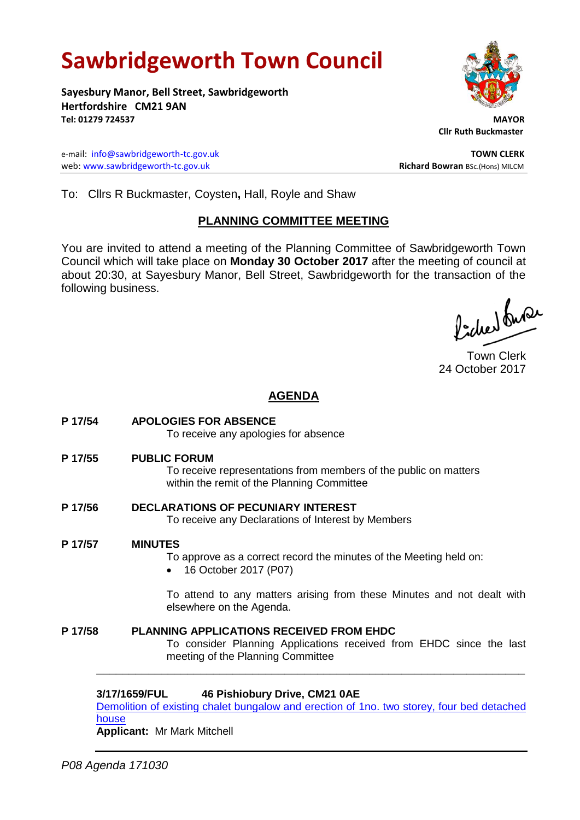# **Sawbridgeworth Town Council**

**Sayesbury Manor, Bell Street, Sawbridgeworth Hertfordshire CM21 9AN Tel: 01279 724537 MAYOR**

e-mail: [info@sawbridgeworth-tc.gov.uk](mailto:info@sawbridgeworth-tc.gov.uk) **TOWN CLERK** web: www.sawbridgeworth-tc.gov.uk<br> **Richard Bowran** BSc.(Hons) MILCM



 **Cllr Ruth Buckmaster** 

To: Cllrs R Buckmaster, Coysten**,** Hall, Royle and Shaw

### **PLANNING COMMITTEE MEETING**

You are invited to attend a meeting of the Planning Committee of Sawbridgeworth Town Council which will take place on **Monday 30 October 2017** after the meeting of council at about 20:30, at Sayesbury Manor, Bell Street, Sawbridgeworth for the transaction of the following business.

Picked fuse

Town Clerk 24 October 2017

## **AGENDA**

**P 17/54 APOLOGIES FOR ABSENCE** To receive any apologies for absence **P 17/55 PUBLIC FORUM** To receive representations from members of the public on matters within the remit of the Planning Committee **P 17/56 DECLARATIONS OF PECUNIARY INTEREST** To receive any Declarations of Interest by Members **P 17/57 MINUTES** To approve as a correct record the minutes of the Meeting held on: • 16 October 2017 (P07) To attend to any matters arising from these Minutes and not dealt with elsewhere on the Agenda. **P 17/58 PLANNING APPLICATIONS RECEIVED FROM EHDC** To consider Planning Applications received from EHDC since the last meeting of the Planning Committee **\_\_\_\_\_\_\_\_\_\_\_\_\_\_\_\_\_\_\_\_\_\_\_\_\_\_\_\_\_\_\_\_\_\_\_\_\_\_\_\_\_\_\_\_\_\_\_\_\_\_\_\_\_\_\_\_\_\_\_\_\_\_\_\_\_\_**

**3/17/1659/FUL 46 Pishiobury Drive, CM21 0AE** [Demolition of existing chalet bungalow and erection of 1no. two storey, four bed detached](https://publicaccess.eastherts.gov.uk/online-applications/applicationDetails.do?keyVal=OT12VUGL01D00&activeTab=summary)  [house](https://publicaccess.eastherts.gov.uk/online-applications/applicationDetails.do?keyVal=OT12VUGL01D00&activeTab=summary) **Applicant:** Mr Mark Mitchell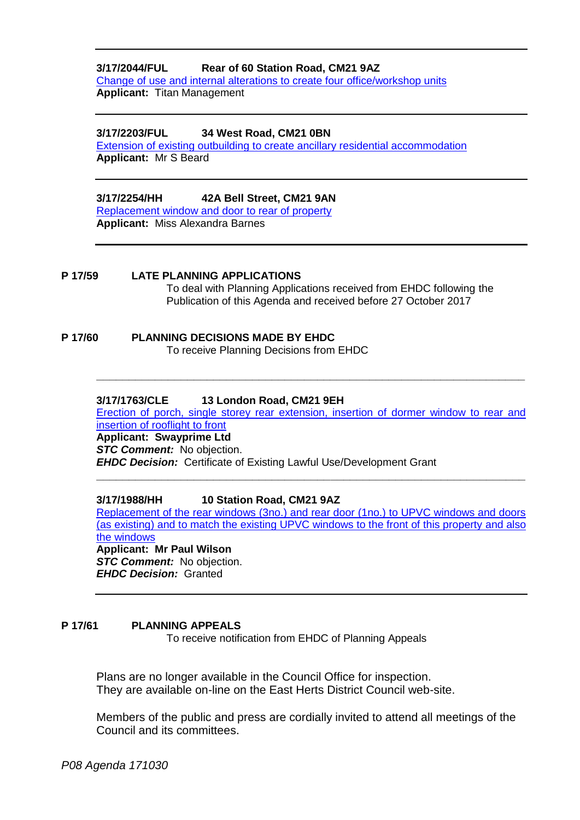# **3/17/2044/FUL Rear of 60 Station Road, CM21 9AZ**

[Change of use and internal alterations to create four office/workshop units](https://publicaccess.eastherts.gov.uk/online-applications/applicationDetails.do?keyVal=OVR36PGL00X00&activeTab=summary) **Applicant:** Titan Management

#### **3/17/2203/FUL 34 West Road, CM21 0BN** [Extension of existing outbuilding to create ancillary residential accommodation](https://publicaccess.eastherts.gov.uk/online-applications/applicationDetails.do?keyVal=OWMMN6GLILC00&activeTab=summary) **Applicant:** Mr S Beard

**3/17/2254/HH 42A Bell Street, CM21 9AN** [Replacement window and door to rear of property](https://publicaccess.eastherts.gov.uk/online-applications/applicationDetails.do?keyVal=OWXFIOGLINX00&activeTab=summary) **Applicant:** Miss Alexandra Barnes

**P 17/59 LATE PLANNING APPLICATIONS** To deal with Planning Applications received from EHDC following the Publication of this Agenda and received before 27 October 2017

**P 17/60 PLANNING DECISIONS MADE BY EHDC** To receive Planning Decisions from EHDC

#### **3/17/1763/CLE 13 London Road, CM21 9EH**

[Erection of porch, single storey rear extension, insertion of dormer window to rear and](https://publicaccess.eastherts.gov.uk/online-applications/applicationDetails.do?keyVal=OTORIXGLHUF00&activeTab=summary)  [insertion of rooflight to front](https://publicaccess.eastherts.gov.uk/online-applications/applicationDetails.do?keyVal=OTORIXGLHUF00&activeTab=summary)

**\_\_\_\_\_\_\_\_\_\_\_\_\_\_\_\_\_\_\_\_\_\_\_\_\_\_\_\_\_\_\_\_\_\_\_\_\_\_\_\_\_\_\_\_\_\_\_\_\_\_\_\_\_\_\_\_\_\_\_\_\_\_\_\_\_\_**

**\_\_\_\_\_\_\_\_\_\_\_\_\_\_\_\_\_\_\_\_\_\_\_\_\_\_\_\_\_\_\_\_\_\_\_\_\_\_\_\_\_\_\_\_\_\_\_\_\_\_\_\_\_\_\_\_\_\_\_\_\_\_\_\_\_\_**

**Applicant: Swayprime Ltd** *STC Comment:* No objection. *EHDC Decision:* Certificate of Existing Lawful Use/Development Grant

#### **3/17/1988/HH 10 Station Road, CM21 9AZ**

[Replacement of the rear windows \(3no.\) and rear door \(1no.\) to UPVC windows and doors](https://publicaccess.eastherts.gov.uk/online-applications/applicationDetails.do?keyVal=OV58GFGLI8H00&activeTab=summary)  [\(as existing\) and to match the existing UPVC windows to the front of this property and also](https://publicaccess.eastherts.gov.uk/online-applications/applicationDetails.do?keyVal=OV58GFGLI8H00&activeTab=summary)  [the windows](https://publicaccess.eastherts.gov.uk/online-applications/applicationDetails.do?keyVal=OV58GFGLI8H00&activeTab=summary) **Applicant: Mr Paul Wilson** *STC Comment:* No objection. *EHDC Decision:* Granted

#### **P 17/61 PLANNING APPEALS**

To receive notification from EHDC of Planning Appeals

Plans are no longer available in the Council Office for inspection. They are available on-line on the East Herts District Council web-site.

Members of the public and press are cordially invited to attend all meetings of the Council and its committees.